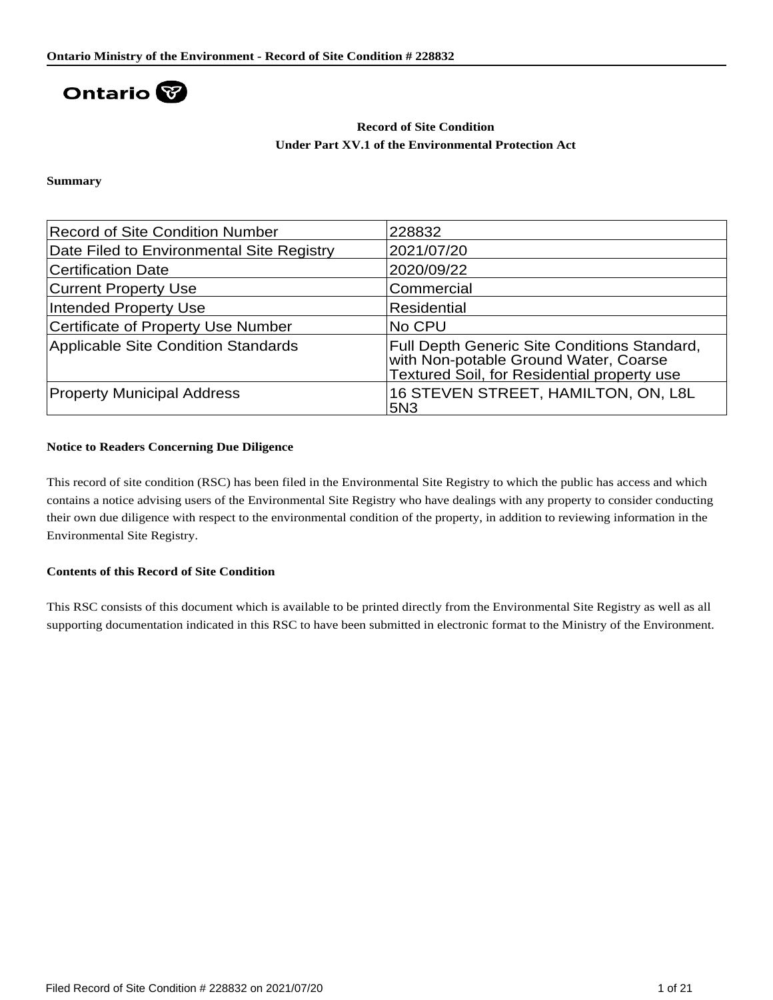

## **Record of Site Condition Under Part XV.1 of the Environmental Protection Act**

**Summary**

| <b>Record of Site Condition Number</b>     | 228832                                                                                                                                      |
|--------------------------------------------|---------------------------------------------------------------------------------------------------------------------------------------------|
| Date Filed to Environmental Site Registry  | 2021/07/20                                                                                                                                  |
| <b>Certification Date</b>                  | 2020/09/22                                                                                                                                  |
| <b>Current Property Use</b>                | Commercial                                                                                                                                  |
| Intended Property Use                      | Residential                                                                                                                                 |
| <b>Certificate of Property Use Number</b>  | No CPU                                                                                                                                      |
| <b>Applicable Site Condition Standards</b> | <b>Full Depth Generic Site Conditions Standard,</b><br>with Non-potable Ground Water, Coarse<br>Textured Soil, for Residential property use |
| <b>Property Municipal Address</b>          | 16 STEVEN STREET, HAMILTON, ON, L8L<br><b>5N3</b>                                                                                           |

### **Notice to Readers Concerning Due Diligence**

This record of site condition (RSC) has been filed in the Environmental Site Registry to which the public has access and which contains a notice advising users of the Environmental Site Registry who have dealings with any property to consider conducting their own due diligence with respect to the environmental condition of the property, in addition to reviewing information in the Environmental Site Registry.

### **Contents of this Record of Site Condition**

This RSC consists of this document which is available to be printed directly from the Environmental Site Registry as well as all supporting documentation indicated in this RSC to have been submitted in electronic format to the Ministry of the Environment.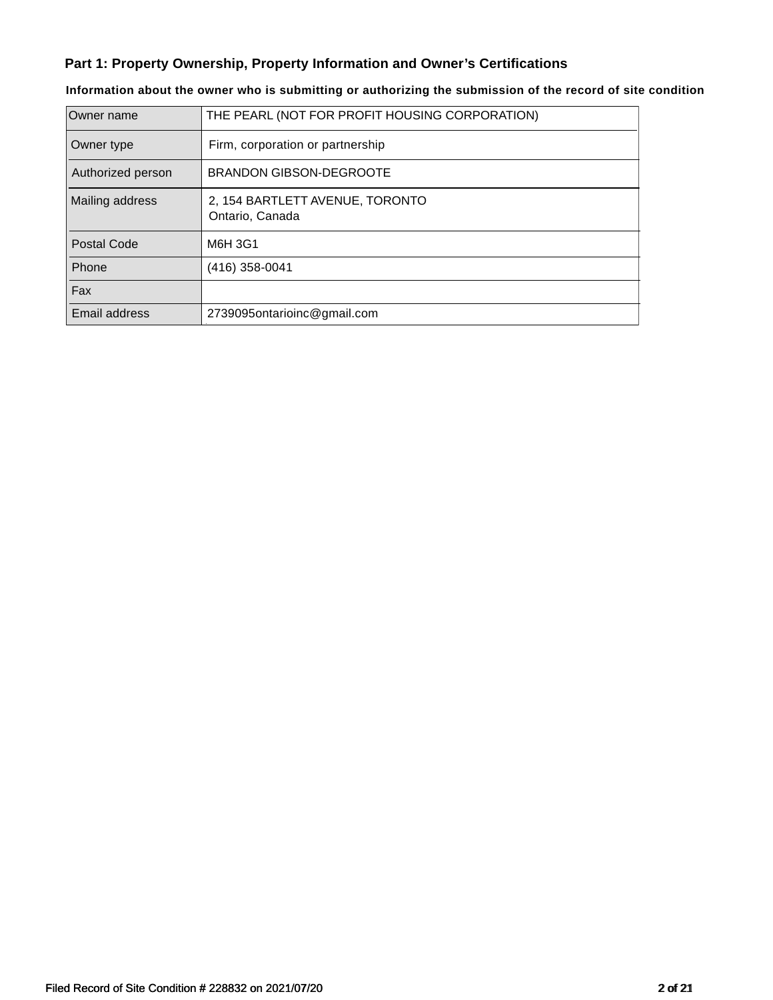# **Part 1: Property Ownership, Property Information and Owner's Certifications**

| Owner name         | THE PEARL (NOT FOR PROFIT HOUSING CORPORATION)     |
|--------------------|----------------------------------------------------|
| Owner type         | Firm, corporation or partnership                   |
| Authorized person  | <b>BRANDON GIBSON-DEGROOTE</b>                     |
| Mailing address    | 2, 154 BARTLETT AVENUE, TORONTO<br>Ontario, Canada |
| <b>Postal Code</b> | M6H 3G1                                            |
| Phone              | (416) 358-0041                                     |
| Fax                |                                                    |
| Email address      | 2739095ontarioinc@gmail.com                        |

# **Information about the owner who is submitting or authorizing the submission of the record of site condition**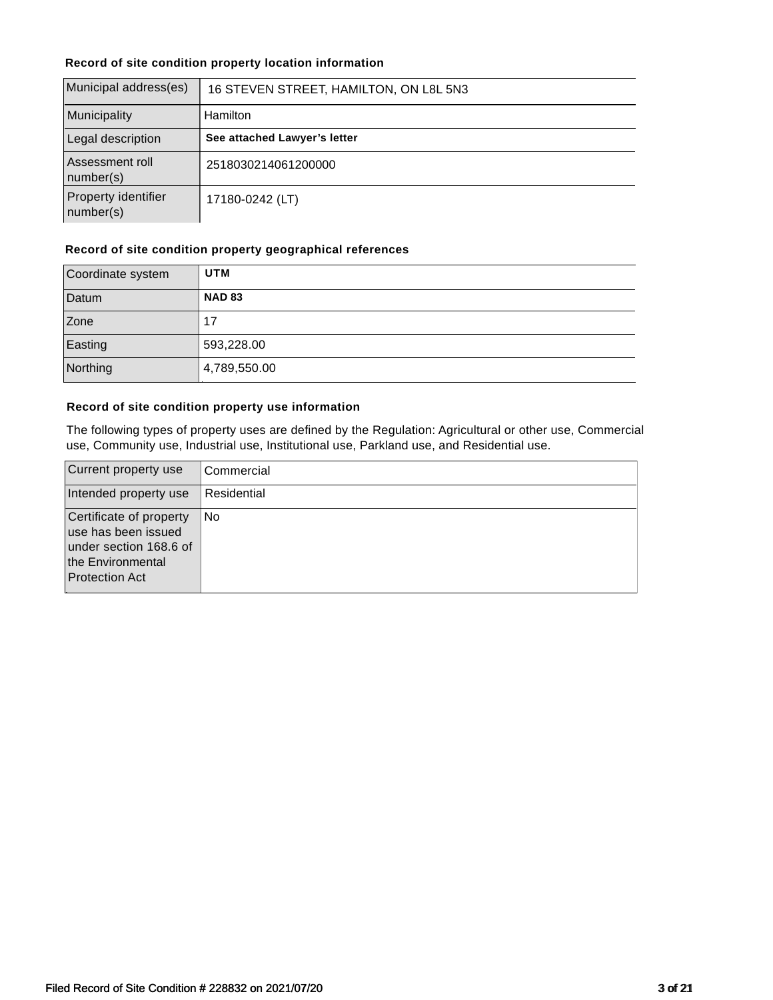## **Record of site condition property location information**

| Municipal address(es)            | 16 STEVEN STREET, HAMILTON, ON L8L 5N3 |  |
|----------------------------------|----------------------------------------|--|
| Municipality                     | <b>Hamilton</b>                        |  |
| Legal description                | See attached Lawyer's letter           |  |
| Assessment roll<br>number(s)     | 2518030214061200000                    |  |
| Property identifier<br>number(s) | 17180-0242 (LT)                        |  |

#### **Record of site condition property geographical references**

| Coordinate system | <b>UTM</b>    |
|-------------------|---------------|
| Datum             | <b>NAD 83</b> |
| Zone              | 17            |
| Easting           | 593,228.00    |
| Northing          | 4,789,550.00  |

#### **Record of site condition property use information**

The following types of property uses are defined by the Regulation: Agricultural or other use, Commercial use, Community use, Industrial use, Institutional use, Parkland use, and Residential use.

| Current property use                                                                                                   | Commercial  |
|------------------------------------------------------------------------------------------------------------------------|-------------|
| Intended property use                                                                                                  | Residential |
| Certificate of property<br>use has been issued<br>under section 168.6 of<br>the Environmental<br><b>Protection Act</b> | No.         |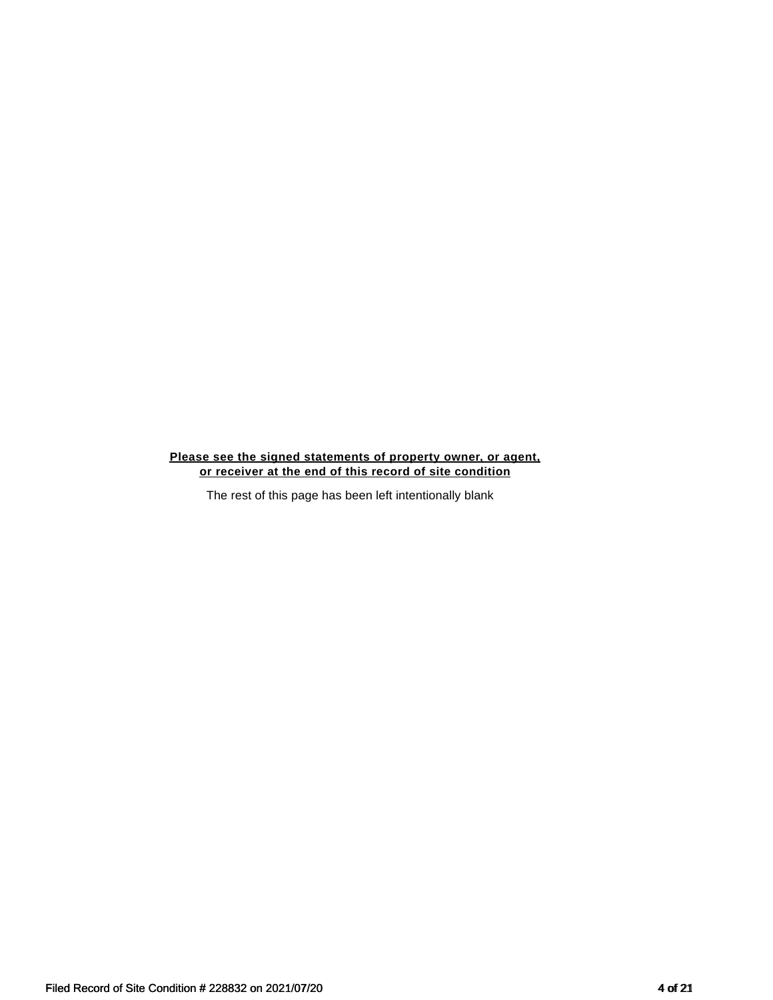### **Please see the signed statements of property owner, or agent, or receiver at the end of this record of site condition**

The rest of this page has been left intentionally blank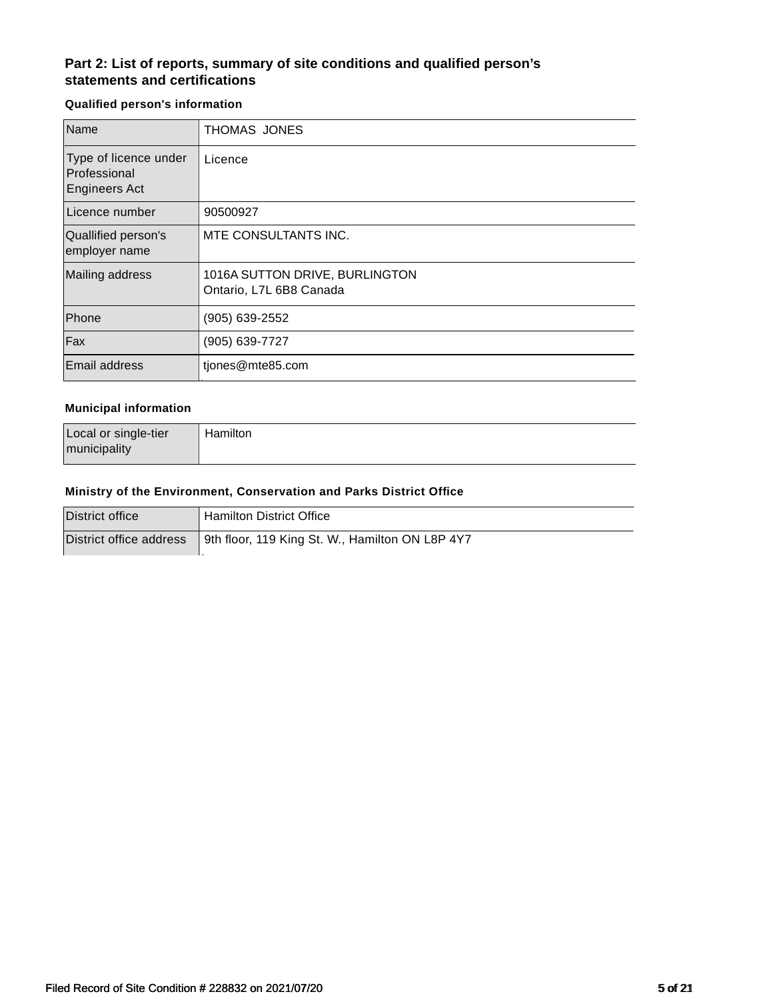# **Part 2: List of reports, summary of site conditions and qualified person's statements and certifications**

## **Qualified person's information**

| Name                                                          | THOMAS JONES                                              |
|---------------------------------------------------------------|-----------------------------------------------------------|
| Type of licence under<br>Professional<br><b>Engineers Act</b> | Licence                                                   |
| Licence number                                                | 90500927                                                  |
| Quallified person's<br>employer name                          | MTE CONSULTANTS INC.                                      |
| Mailing address                                               | 1016A SUTTON DRIVE, BURLINGTON<br>Ontario, L7L 6B8 Canada |
| Phone                                                         | (905) 639-2552                                            |
| Fax                                                           | (905) 639-7727                                            |
| <b>Email address</b>                                          | tiones@mte85.com                                          |

#### **Municipal information**

| Local or single-tier | Hamilton |
|----------------------|----------|
| municipality         |          |

#### **Ministry of the Environment, Conservation and Parks District Office**

| District office         | Hamilton District Office                        |
|-------------------------|-------------------------------------------------|
| District office address | 9th floor, 119 King St. W., Hamilton ON L8P 4Y7 |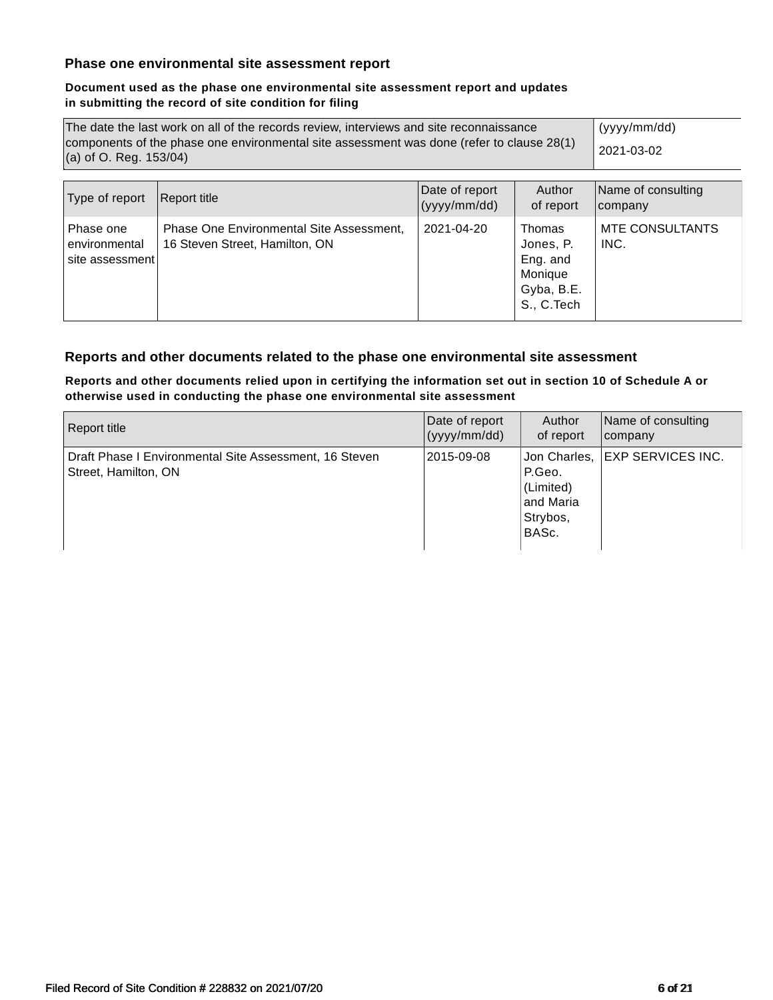## **Phase one environmental site assessment report**

### **Document used as the phase one environmental site assessment report and updates in submitting the record of site condition for filing**

| The date the last work on all of the records review, interviews and site reconnaissance<br>components of the phase one environmental site assessment was done (refer to clause 28(1)<br>(a) of O. Reg. $153/04$ ) |                                                                            |            |                                                                                | (yyyy/mm/dd)<br>2021-03-02     |
|-------------------------------------------------------------------------------------------------------------------------------------------------------------------------------------------------------------------|----------------------------------------------------------------------------|------------|--------------------------------------------------------------------------------|--------------------------------|
| Type of report                                                                                                                                                                                                    | Name of consulting<br>company                                              |            |                                                                                |                                |
| Phase one<br>environmental<br>site assessment                                                                                                                                                                     | Phase One Environmental Site Assessment,<br>16 Steven Street, Hamilton, ON | 2021-04-20 | <b>Thomas</b><br>Jones, P.<br>Eng. and<br>Monique<br>Gyba, B.E.<br>S., C. Tech | <b>MTE CONSULTANTS</b><br>INC. |

# **Reports and other documents related to the phase one environmental site assessment**

### **Reports and other documents relied upon in certifying the information set out in section 10 of Schedule A or otherwise used in conducting the phase one environmental site assessment**

| Report title                                                                   | Date of report | Author                                                | Name of consulting               |
|--------------------------------------------------------------------------------|----------------|-------------------------------------------------------|----------------------------------|
|                                                                                | (yyy/mm/dd)    | of report                                             | company                          |
| Draft Phase I Environmental Site Assessment, 16 Steven<br>Street, Hamilton, ON | 2015-09-08     | P.Geo.<br>(Limited)<br>and Maria<br>Strybos,<br>BASc. | Jon Charles,   EXP SERVICES INC. |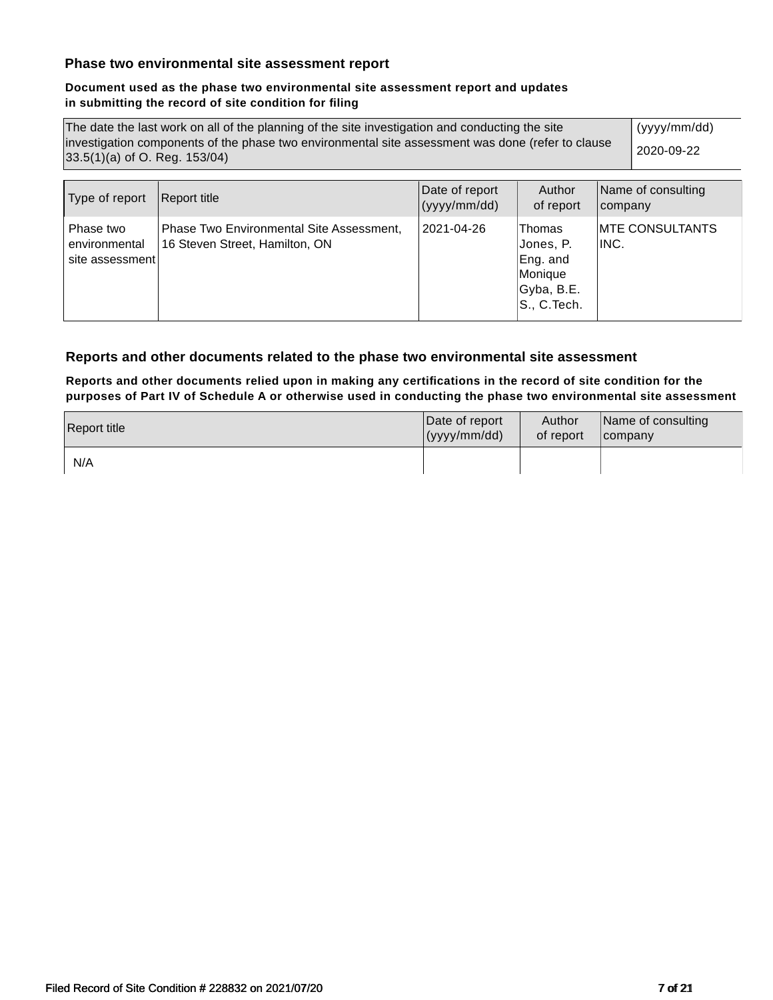## **Phase two environmental site assessment report**

### **Document used as the phase two environmental site assessment report and updates in submitting the record of site condition for filing**

| The date the last work on all of the planning of the site investigation and conducting the site   | (yyyy/mm/dd) |
|---------------------------------------------------------------------------------------------------|--------------|
| investigation components of the phase two environmental site assessment was done (refer to clause | 2020-09-22   |
| 33.5(1)(a) of O. Reg. 153/04)                                                                     |              |

| Type of report                                | Report title                                                               | Date of report<br>(yyyy/mm/dd) | Author<br>of report                                                      | Name of consulting<br>company |
|-----------------------------------------------|----------------------------------------------------------------------------|--------------------------------|--------------------------------------------------------------------------|-------------------------------|
| Phase two<br>environmental<br>site assessment | Phase Two Environmental Site Assessment,<br>16 Steven Street, Hamilton, ON | 2021-04-26                     | Thomas<br> Jones, P.<br>Eng. and<br>Monique<br>Gyba, B.E.<br>S., C.Tech. | IMTE CONSULTANTS<br>IINC.     |

## **Reports and other documents related to the phase two environmental site assessment**

**Reports and other documents relied upon in making any certifications in the record of site condition for the purposes of Part IV of Schedule A or otherwise used in conducting the phase two environmental site assessment**

| Report title | Date of report | Author    | Name of consulting |
|--------------|----------------|-----------|--------------------|
|              | (yyy/mm/dd)    | of report | <b>Icompany</b>    |
| N/A          |                |           |                    |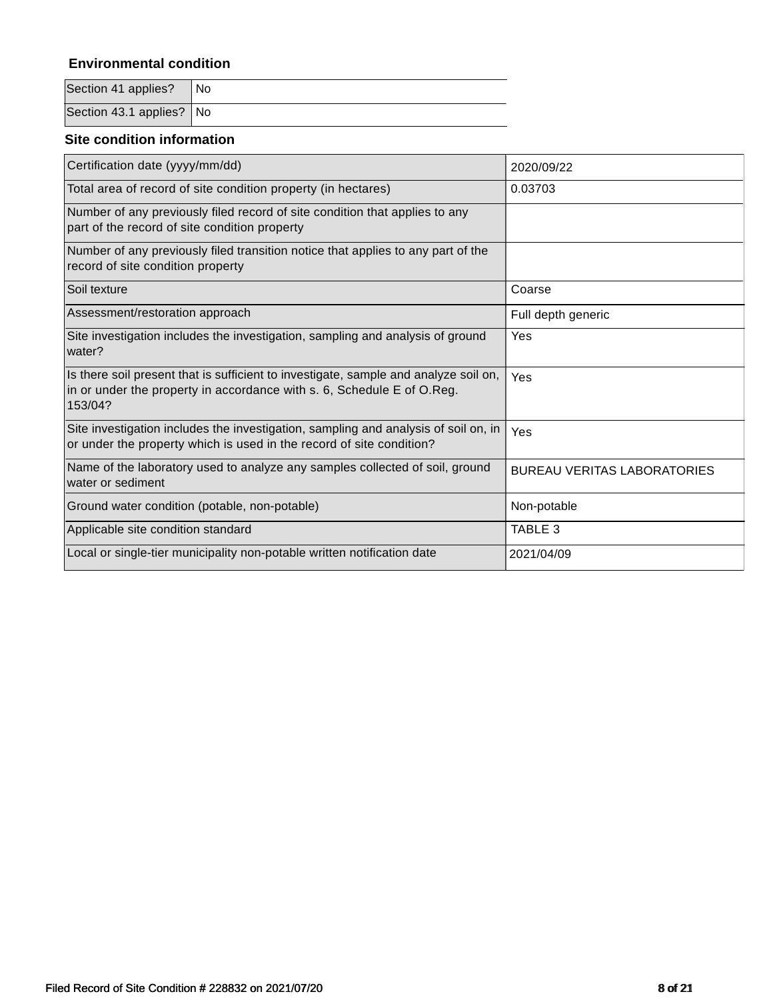# **Environmental condition**

| Section 41 applies?   No |  |
|--------------------------|--|
| Section 43.1 applies? No |  |

## **Site condition information**

| Certification date (yyyy/mm/dd)                                                                                                                                           | 2020/09/22                         |
|---------------------------------------------------------------------------------------------------------------------------------------------------------------------------|------------------------------------|
| Total area of record of site condition property (in hectares)                                                                                                             | 0.03703                            |
| Number of any previously filed record of site condition that applies to any<br>part of the record of site condition property                                              |                                    |
| Number of any previously filed transition notice that applies to any part of the<br>record of site condition property                                                     |                                    |
| Soil texture                                                                                                                                                              | Coarse                             |
| Assessment/restoration approach                                                                                                                                           | Full depth generic                 |
| Site investigation includes the investigation, sampling and analysis of ground<br>water?                                                                                  | Yes                                |
| Is there soil present that is sufficient to investigate, sample and analyze soil on,<br>in or under the property in accordance with s. 6, Schedule E of O.Reg.<br>153/04? | Yes                                |
| Site investigation includes the investigation, sampling and analysis of soil on, in<br>or under the property which is used in the record of site condition?               | Yes                                |
| Name of the laboratory used to analyze any samples collected of soil, ground<br>water or sediment                                                                         | <b>BUREAU VERITAS LABORATORIES</b> |
| Ground water condition (potable, non-potable)                                                                                                                             | Non-potable                        |
| Applicable site condition standard                                                                                                                                        | TABLE 3                            |
| Local or single-tier municipality non-potable written notification date                                                                                                   | 2021/04/09                         |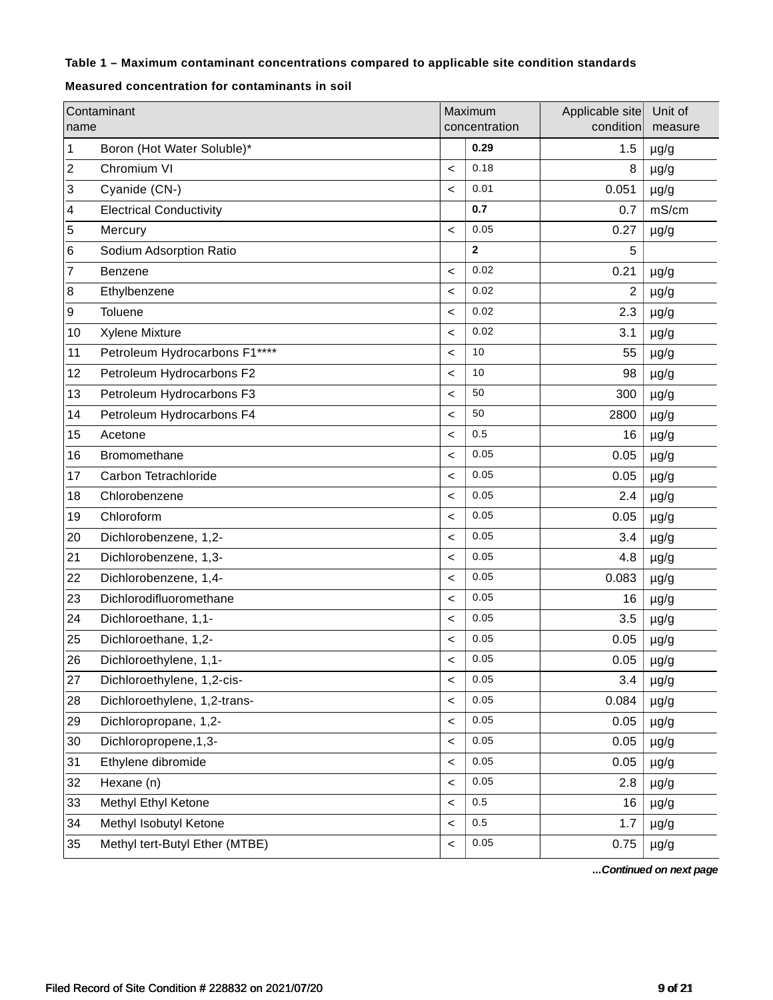# **Table 1 – Maximum contaminant concentrations compared to applicable site condition standards**

### **Measured concentration for contaminants in soil**

| name | Contaminant                    |         | Maximum<br>concentration | Applicable site<br>condition | Unit of<br>measure |
|------|--------------------------------|---------|--------------------------|------------------------------|--------------------|
| 1    | Boron (Hot Water Soluble)*     |         | 0.29                     | 1.5                          | $\mu$ g/g          |
| 2    | Chromium VI                    | $\,<$   | 0.18                     | 8                            | $\mu$ g/g          |
| 3    | Cyanide (CN-)                  | $\prec$ | 0.01                     | 0.051                        | $\mu$ g/g          |
| 4    | <b>Electrical Conductivity</b> |         | 0.7                      | 0.7                          | mS/cm              |
| 5    | Mercury                        | $\,<$   | 0.05                     | 0.27                         | $\mu$ g/g          |
| 6    | Sodium Adsorption Ratio        |         | $\mathbf{2}$             | 5                            |                    |
| 7    | Benzene                        | $\,<$   | 0.02                     | 0.21                         | $\mu$ g/g          |
| 8    | Ethylbenzene                   | $\,<$   | 0.02                     | $\overline{c}$               | $\mu$ g/g          |
| 9    | Toluene                        | $\,<$   | 0.02                     | 2.3                          | $\mu$ g/g          |
| 10   | <b>Xylene Mixture</b>          | $\,<$   | 0.02                     | 3.1                          | $\mu$ g/g          |
| 11   | Petroleum Hydrocarbons F1****  | $\,<$   | 10                       | 55                           | $\mu$ g/g          |
| 12   | Petroleum Hydrocarbons F2      | $\,<$   | 10                       | 98                           | $\mu$ g/g          |
| 13   | Petroleum Hydrocarbons F3      | $\,<$   | 50                       | 300                          | $\mu$ g/g          |
| 14   | Petroleum Hydrocarbons F4      | $\,<$   | 50                       | 2800                         | $\mu$ g/g          |
| 15   | Acetone                        | $\,<$   | 0.5                      | 16                           | $\mu$ g/g          |
| 16   | Bromomethane                   | $\,<$   | 0.05                     | 0.05                         | $\mu$ g/g          |
| 17   | Carbon Tetrachloride           | $\,<$   | 0.05                     | 0.05                         | $\mu$ g/g          |
| 18   | Chlorobenzene                  | $\,<$   | 0.05                     | 2.4                          | $\mu$ g/g          |
| 19   | Chloroform                     | $\,<$   | 0.05                     | 0.05                         | $\mu$ g/g          |
| 20   | Dichlorobenzene, 1,2-          | $\,<$   | 0.05                     | 3.4                          | $\mu$ g/g          |
| 21   | Dichlorobenzene, 1,3-          | $\,<$   | 0.05                     | 4.8                          | $\mu$ g/g          |
| 22   | Dichlorobenzene, 1,4-          | $\,<$   | 0.05                     | 0.083                        | $\mu$ g/g          |
| 23   | Dichlorodifluoromethane        | $\,<$   | 0.05                     | 16                           | $\mu$ g/g          |
| 24   | Dichloroethane, 1,1-           | $\,<$   | 0.05                     | 3.5                          | $\mu$ g/g          |
| 25   | Dichloroethane, 1,2-           | $\,<$   | 0.05                     | 0.05                         | $\mu$ g/g          |
| 26   | Dichloroethylene, 1,1-         | $\prec$ | 0.05                     | 0.05                         | $\mu$ g/g          |
| 27   | Dichloroethylene, 1,2-cis-     | $\,<$   | 0.05                     | 3.4                          | $\mu$ g/g          |
| 28   | Dichloroethylene, 1,2-trans-   | $\,<$   | 0.05                     | 0.084                        | $\mu$ g/g          |
| 29   | Dichloropropane, 1,2-          | $\,<$   | 0.05                     | 0.05                         | $\mu$ g/g          |
| 30   | Dichloropropene, 1, 3-         | $\,<$   | 0.05                     | 0.05                         | $\mu$ g/g          |
| 31   | Ethylene dibromide             | $\,<$   | 0.05                     | 0.05                         | $\mu$ g/g          |
| 32   | Hexane (n)                     | $\,<$   | 0.05                     | 2.8                          | $\mu$ g/g          |
| 33   | Methyl Ethyl Ketone            | $\,<$   | 0.5                      | 16                           | $\mu$ g/g          |
| 34   | Methyl Isobutyl Ketone         | $\,<$   | $0.5\,$                  | 1.7                          | $\mu$ g/g          |
| 35   | Methyl tert-Butyl Ether (MTBE) | $\,<$   | 0.05                     | 0.75                         | $\mu$ g/g          |

*...Continued on next page*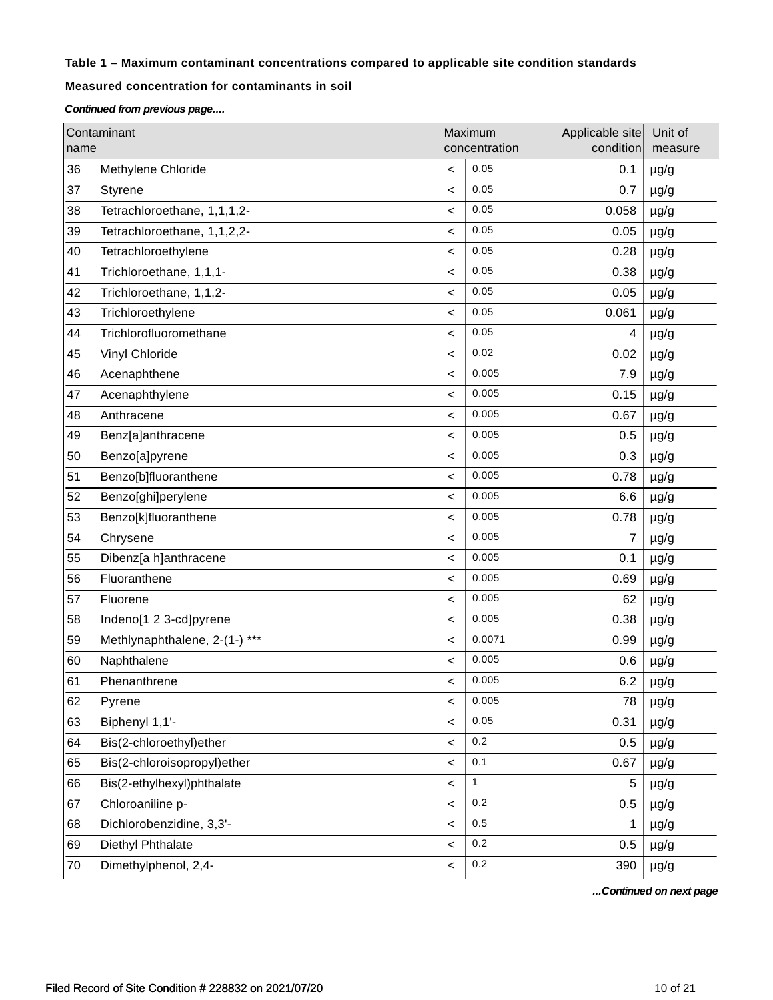## **Table 1 – Maximum contaminant concentrations compared to applicable site condition standards**

## **Measured concentration for contaminants in soil**

*Continued from previous page....*

|      | Contaminant                   |                          | Maximum<br>concentration | Applicable site<br>condition | Unit of   |
|------|-------------------------------|--------------------------|--------------------------|------------------------------|-----------|
| name |                               |                          |                          |                              | measure   |
| 36   | Methylene Chloride            | $\,<\,$                  | 0.05                     | 0.1                          | $\mu$ g/g |
| 37   | Styrene                       | $\,<\,$                  | 0.05                     | 0.7                          | $\mu$ g/g |
| 38   | Tetrachloroethane, 1,1,1,2-   | $\,<\,$                  | 0.05                     | 0.058                        | $\mu$ g/g |
| 39   | Tetrachloroethane, 1,1,2,2-   | $\,<$                    | 0.05                     | 0.05                         | $\mu$ g/g |
| 40   | Tetrachloroethylene           | $\,<$                    | 0.05                     | 0.28                         | $\mu$ g/g |
| 41   | Trichloroethane, 1,1,1-       | $\,<\,$                  | 0.05                     | 0.38                         | $\mu$ g/g |
| 42   | Trichloroethane, 1,1,2-       | $\,<\,$                  | 0.05                     | 0.05                         | $\mu$ g/g |
| 43   | Trichloroethylene             | $\,<\,$                  | 0.05                     | 0.061                        | $\mu$ g/g |
| 44   | Trichlorofluoromethane        | $\,<\,$                  | 0.05                     | 4                            | $\mu$ g/g |
| 45   | Vinyl Chloride                | $\,<\,$                  | 0.02                     | 0.02                         | $\mu$ g/g |
| 46   | Acenaphthene                  | $\,<\,$                  | 0.005                    | 7.9                          | $\mu$ g/g |
| 47   | Acenaphthylene                | $\,<\,$                  | 0.005                    | 0.15                         | $\mu$ g/g |
| 48   | Anthracene                    | $\,<\,$                  | 0.005                    | 0.67                         | $\mu$ g/g |
| 49   | Benz[a]anthracene             | $\,<\,$                  | 0.005                    | 0.5                          | $\mu$ g/g |
| 50   | Benzo[a]pyrene                | $\,<\,$                  | 0.005                    | 0.3                          | $\mu$ g/g |
| 51   | Benzo[b]fluoranthene          | $\,<\,$                  | 0.005                    | 0.78                         | $\mu$ g/g |
| 52   | Benzo[ghi]perylene            | $\,<\,$                  | 0.005                    | 6.6                          | $\mu$ g/g |
| 53   | Benzo[k]fluoranthene          | $\,<\,$                  | 0.005                    | 0.78                         | $\mu$ g/g |
| 54   | Chrysene                      | $\,<\,$                  | 0.005                    | 7                            | $\mu$ g/g |
| 55   | Dibenz[a h]anthracene         | $\,<$                    | 0.005                    | 0.1                          | $\mu$ g/g |
| 56   | Fluoranthene                  | $\,<\,$                  | 0.005                    | 0.69                         | $\mu$ g/g |
| 57   | Fluorene                      | $\,<\,$                  | 0.005                    | 62                           | $\mu$ g/g |
| 58   | Indeno[1 2 3-cd]pyrene        | $\,<\,$                  | 0.005                    | 0.38                         | $\mu$ g/g |
| 59   | Methlynaphthalene, 2-(1-) *** | $\,<\,$                  | 0.0071                   | 0.99                         | $\mu$ g/g |
| 60   | Naphthalene                   | $\,<\,$                  | 0.005                    | 0.6                          | $\mu$ g/g |
| 61   | Phenanthrene                  | $\,<\,$                  | 0.005                    | 6.2                          | $\mu$ g/g |
| 62   | Pyrene                        | $\,<\,$                  | 0.005                    | 78                           | $\mu$ g/g |
| 63   | Biphenyl 1,1'-                | $\,<\,$                  | 0.05                     | 0.31                         | $\mu$ g/g |
| 64   | Bis(2-chloroethyl)ether       | $\,<$                    | 0.2                      | 0.5                          | $\mu$ g/g |
| 65   | Bis(2-chloroisopropyl)ether   | $\overline{\phantom{0}}$ | 0.1                      | 0.67                         | $\mu$ g/g |
| 66   | Bis(2-ethylhexyl)phthalate    | $\overline{\phantom{a}}$ | $\mathbf{1}$             | 5                            | $\mu$ g/g |
| 67   | Chloroaniline p-              | $\overline{\phantom{a}}$ | $0.2\,$                  | 0.5                          | $\mu$ g/g |
| 68   | Dichlorobenzidine, 3,3'-      | $\,<\,$                  | 0.5                      | 1                            | $\mu$ g/g |
| 69   | Diethyl Phthalate             | $\,<\,$                  | 0.2                      | 0.5                          | $\mu$ g/g |
| 70   | Dimethylphenol, 2,4-          | $\overline{\phantom{a}}$ | $0.2\,$                  | 390                          | $\mu$ g/g |

*...Continued on next page*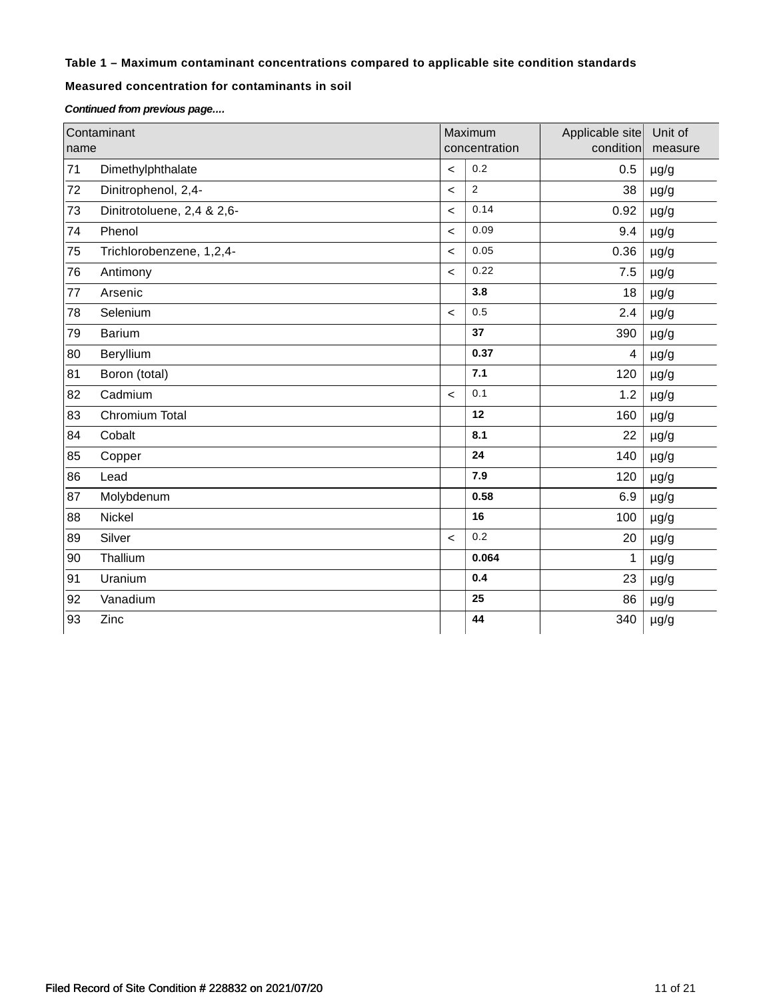## **Table 1 – Maximum contaminant concentrations compared to applicable site condition standards**

## **Measured concentration for contaminants in soil**

*Continued from previous page....*

|      | Contaminant                |                          | Maximum        | Applicable site         | Unit of   |
|------|----------------------------|--------------------------|----------------|-------------------------|-----------|
| name |                            |                          | concentration  | condition               | measure   |
| 71   | Dimethylphthalate          | $\prec$                  | 0.2            | 0.5                     | $\mu$ g/g |
| 72   | Dinitrophenol, 2,4-        | $\,<$                    | $\overline{2}$ | 38                      | $\mu$ g/g |
| 73   | Dinitrotoluene, 2,4 & 2,6- | $\,<$                    | 0.14           | 0.92                    | $\mu$ g/g |
| 74   | Phenol                     | $\,<$                    | 0.09           | 9.4                     | $\mu$ g/g |
| 75   | Trichlorobenzene, 1,2,4-   | $\prec$                  | 0.05           | 0.36                    | $\mu$ g/g |
| 76   | Antimony                   | $\prec$                  | 0.22           | 7.5                     | $\mu$ g/g |
| 77   | Arsenic                    |                          | 3.8            | 18                      | $\mu$ g/g |
| 78   | Selenium                   | $\prec$                  | 0.5            | 2.4                     | $\mu$ g/g |
| 79   | <b>Barium</b>              |                          | 37             | 390                     | $\mu$ g/g |
| 80   | Beryllium                  |                          | 0.37           | $\overline{\mathbf{4}}$ | $\mu$ g/g |
| 81   | Boron (total)              |                          | 7.1            | 120                     | $\mu$ g/g |
| 82   | Cadmium                    | $\prec$                  | 0.1            | 1.2                     | $\mu$ g/g |
| 83   | Chromium Total             |                          | 12             | 160                     | $\mu$ g/g |
| 84   | Cobalt                     |                          | 8.1            | 22                      | $\mu$ g/g |
| 85   | Copper                     |                          | 24             | 140                     | $\mu$ g/g |
| 86   | Lead                       |                          | 7.9            | 120                     | $\mu$ g/g |
| 87   | Molybdenum                 |                          | 0.58           | 6.9                     | $\mu$ g/g |
| 88   | Nickel                     |                          | 16             | 100                     | $\mu$ g/g |
| 89   | Silver                     | $\overline{\phantom{0}}$ | 0.2            | 20                      | $\mu$ g/g |
| 90   | Thallium                   |                          | 0.064          | 1                       | $\mu$ g/g |
| 91   | Uranium                    |                          | 0.4            | 23                      | $\mu$ g/g |
| 92   | Vanadium                   |                          | 25             | 86                      | $\mu$ g/g |
| 93   | Zinc                       |                          | 44             | 340                     | $\mu$ g/g |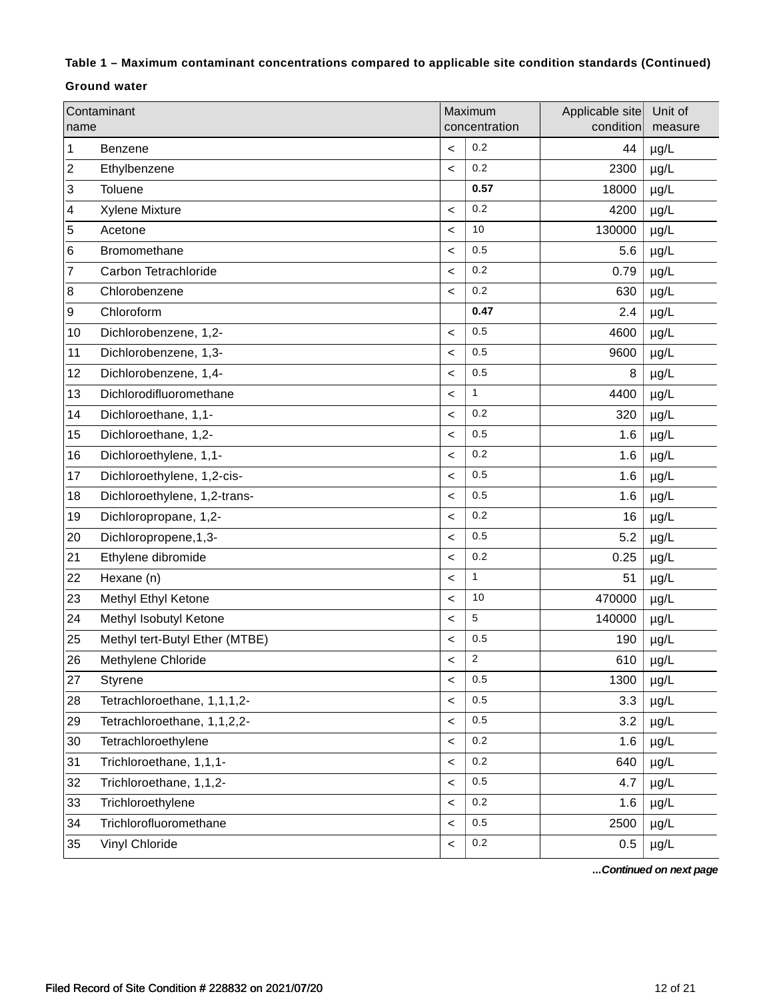## **Table 1 – Maximum contaminant concentrations compared to applicable site condition standards (Continued)**

### **Ground water**

| name | Contaminant                    |         | Maximum<br>concentration | Applicable site<br>condition | Unit of<br>measure |
|------|--------------------------------|---------|--------------------------|------------------------------|--------------------|
| 1    | Benzene                        | $\,<\,$ | 0.2                      | 44                           | $\mu$ g/L          |
| 2    | Ethylbenzene                   | $\,<\,$ | 0.2                      | 2300                         | $\mu$ g/L          |
| 3    | Toluene                        |         | 0.57                     | 18000                        | $\mu$ g/L          |
| 4    | Xylene Mixture                 | $\,<\,$ | 0.2                      | 4200                         | $\mu$ g/L          |
| 5    | Acetone                        | $\,<\,$ | 10                       | 130000                       | $\mu$ g/L          |
| 6    | Bromomethane                   | $\,<\,$ | 0.5                      | 5.6                          | $\mu$ g/L          |
| 7    | Carbon Tetrachloride           | $\,<\,$ | 0.2                      | 0.79                         | $\mu$ g/L          |
| 8    | Chlorobenzene                  | $\,<\,$ | 0.2                      | 630                          | µg/L               |
| 9    | Chloroform                     |         | 0.47                     | 2.4                          | $\mu$ g/L          |
| 10   | Dichlorobenzene, 1,2-          | $\,<\,$ | 0.5                      | 4600                         | $\mu$ g/L          |
| 11   | Dichlorobenzene, 1,3-          | $\,<\,$ | 0.5                      | 9600                         | µg/L               |
| 12   | Dichlorobenzene, 1,4-          | $\,<\,$ | 0.5                      | 8                            | $\mu$ g/L          |
| 13   | Dichlorodifluoromethane        | $\,<\,$ | $\mathbf{1}$             | 4400                         | $\mu$ g/L          |
| 14   | Dichloroethane, 1,1-           | $\,<\,$ | 0.2                      | 320                          | $\mu$ g/L          |
| 15   | Dichloroethane, 1,2-           | $\,<$   | 0.5                      | 1.6                          | $\mu$ g/L          |
| 16   | Dichloroethylene, 1,1-         | $\,<\,$ | 0.2                      | 1.6                          | $\mu$ g/L          |
| 17   | Dichloroethylene, 1,2-cis-     | $\,<\,$ | 0.5                      | 1.6                          | $\mu$ g/L          |
| 18   | Dichloroethylene, 1,2-trans-   | $\,<\,$ | 0.5                      | 1.6                          | $\mu$ g/L          |
| 19   | Dichloropropane, 1,2-          | $\,<\,$ | 0.2                      | 16                           | $\mu$ g/L          |
| 20   | Dichloropropene, 1, 3-         | $\,<\,$ | 0.5                      | 5.2                          | $\mu$ g/L          |
| 21   | Ethylene dibromide             | $\,<\,$ | 0.2                      | 0.25                         | $\mu$ g/L          |
| 22   | Hexane (n)                     | $\,<\,$ | $\mathbf{1}$             | 51                           | $\mu$ g/L          |
| 23   | Methyl Ethyl Ketone            | $\,<\,$ | 10                       | 470000                       | $\mu$ g/L          |
| 24   | Methyl Isobutyl Ketone         | $\,<$   | 5                        | 140000                       | $\mu$ g/L          |
| 25   | Methyl tert-Butyl Ether (MTBE) | $\,<$   | $0.5\,$                  | 190                          | $\mu$ g/L          |
| 26   | Methylene Chloride             | $\,<\,$ | $\overline{2}$           | 610                          | $\mu$ g/L          |
| 27   | Styrene                        | $\,<\,$ | 0.5                      | 1300                         | $\mu$ g/L          |
| 28   | Tetrachloroethane, 1,1,1,2-    | $\,<\,$ | 0.5                      | 3.3                          | $\mu$ g/L          |
| 29   | Tetrachloroethane, 1,1,2,2-    | $\,<\,$ | 0.5                      | 3.2                          | µg/L               |
| 30   | Tetrachloroethylene            | $\,<\,$ | 0.2                      | 1.6                          | $\mu$ g/L          |
| 31   | Trichloroethane, 1,1,1-        | $\,<\,$ | $0.2\,$                  | 640                          | µg/L               |
| 32   | Trichloroethane, 1,1,2-        | $\,<$   | 0.5                      | 4.7                          | µg/L               |
| 33   | Trichloroethylene              | $\,<\,$ | 0.2                      | 1.6                          | µg/L               |
| 34   | Trichlorofluoromethane         | $\,<$   | 0.5                      | 2500                         | µg/L               |
| 35   | Vinyl Chloride                 | $\,<\,$ | $0.2\,$                  | 0.5                          | µg/L               |

*...Continued on next page*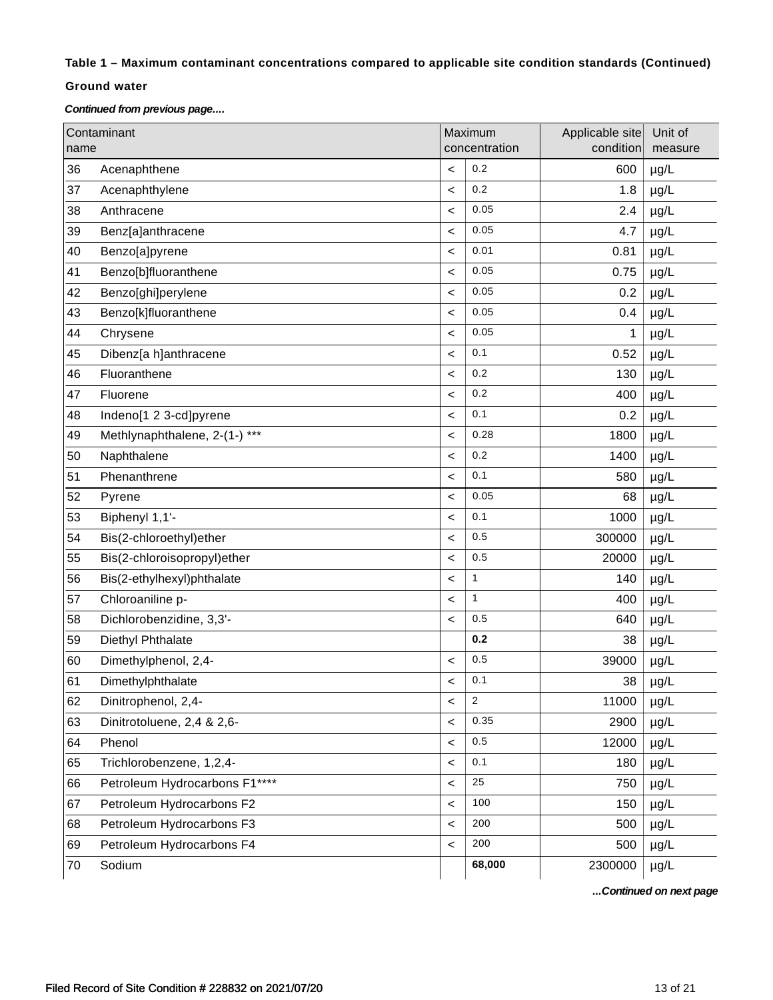## **Table 1 – Maximum contaminant concentrations compared to applicable site condition standards (Continued)**

#### **Ground water**

*Continued from previous page....*

| name | Contaminant                   |                          | Maximum<br>concentration | Applicable site<br>condition | Unit of<br>measure |
|------|-------------------------------|--------------------------|--------------------------|------------------------------|--------------------|
| 36   | Acenaphthene                  | $\,<\,$                  | 0.2                      | 600                          | $\mu$ g/L          |
| 37   | Acenaphthylene                | $\,<\,$                  | 0.2                      | 1.8                          | $\mu$ g/L          |
| 38   | Anthracene                    | $\,<\,$                  | 0.05                     | 2.4                          | $\mu$ g/L          |
| 39   | Benz[a]anthracene             | $\,<\,$                  | 0.05                     | 4.7                          | $\mu$ g/L          |
| 40   | Benzo[a]pyrene                | $\,<\,$                  | 0.01                     | 0.81                         | µg/L               |
| 41   | Benzo[b]fluoranthene          | $\,<\,$                  | 0.05                     | 0.75                         | µg/L               |
| 42   | Benzo[ghi]perylene            | $\,<\,$                  | 0.05                     | 0.2                          | $\mu$ g/L          |
| 43   | Benzo[k]fluoranthene          | $\,<\,$                  | 0.05                     | 0.4                          | $\mu$ g/L          |
| 44   | Chrysene                      | $\,<\,$                  | 0.05                     | 1                            | µg/L               |
| 45   | Dibenz[a h]anthracene         | $\,<$                    | 0.1                      | 0.52                         | $\mu$ g/L          |
| 46   | Fluoranthene                  | $\,<\,$                  | 0.2                      | 130                          | $\mu$ g/L          |
| 47   | Fluorene                      | $\,<\,$                  | 0.2                      | 400                          | µg/L               |
| 48   | Indeno[1 2 3-cd]pyrene        | $\,<\,$                  | 0.1                      | 0.2                          | $\mu$ g/L          |
| 49   | Methlynaphthalene, 2-(1-) *** | $\,<\,$                  | 0.28                     | 1800                         | $\mu$ g/L          |
| 50   | Naphthalene                   | $\,<\,$                  | 0.2                      | 1400                         | µg/L               |
| 51   | Phenanthrene                  | $\,<\,$                  | 0.1                      | 580                          | $\mu g/L$          |
| 52   | Pyrene                        | $\,<\,$                  | 0.05                     | 68                           | $\mu$ g/L          |
| 53   | Biphenyl 1,1'-                | $\,<\,$                  | 0.1                      | 1000                         | µg/L               |
| 54   | Bis(2-chloroethyl)ether       | $\,<\,$                  | 0.5                      | 300000                       | µg/L               |
| 55   | Bis(2-chloroisopropyl)ether   | $\,<$                    | 0.5                      | 20000                        | $\mu$ g/L          |
| 56   | Bis(2-ethylhexyl)phthalate    | $\,<$                    | $\mathbf{1}$             | 140                          | $\mu$ g/L          |
| 57   | Chloroaniline p-              | $\,<\,$                  | $\mathbf{1}$             | 400                          | µg/L               |
| 58   | Dichlorobenzidine, 3,3'-      | $\,<$                    | 0.5                      | 640                          | µg/L               |
| 59   | Diethyl Phthalate             |                          | 0.2                      | 38                           | $\mu$ g/L          |
| 60   | Dimethylphenol, 2,4-          | $\,<\,$                  | 0.5                      | 39000                        | $\mu$ g/L          |
| 61   | Dimethylphthalate             | $\,<\,$                  | 0.1                      | 38                           | $\mu$ g/L          |
| 62   | Dinitrophenol, 2,4-           | $\,<\,$                  | $\overline{2}$           | 11000                        | $\mu$ g/L          |
| 63   | Dinitrotoluene, 2,4 & 2,6-    | $\,<\,$                  | 0.35                     | 2900                         | µg/L               |
| 64   | Phenol                        | $\prec$                  | 0.5                      | 12000                        | µg/L               |
| 65   | Trichlorobenzene, 1,2,4-      | $\overline{\phantom{a}}$ | 0.1                      | 180                          | $\mu$ g/L          |
| 66   | Petroleum Hydrocarbons F1**** | $\,<\,$                  | 25                       | 750                          | $\mu$ g/L          |
| 67   | Petroleum Hydrocarbons F2     | $\,<$                    | 100                      | 150                          | $\mu$ g/L          |
| 68   | Petroleum Hydrocarbons F3     | $\,<\,$                  | 200                      | 500                          | µg/L               |
| 69   | Petroleum Hydrocarbons F4     | $\overline{\phantom{a}}$ | 200                      | 500                          | $\mu$ g/L          |
| 70   | Sodium                        |                          | 68,000                   | 2300000                      | $\mu$ g/L          |

*...Continued on next page*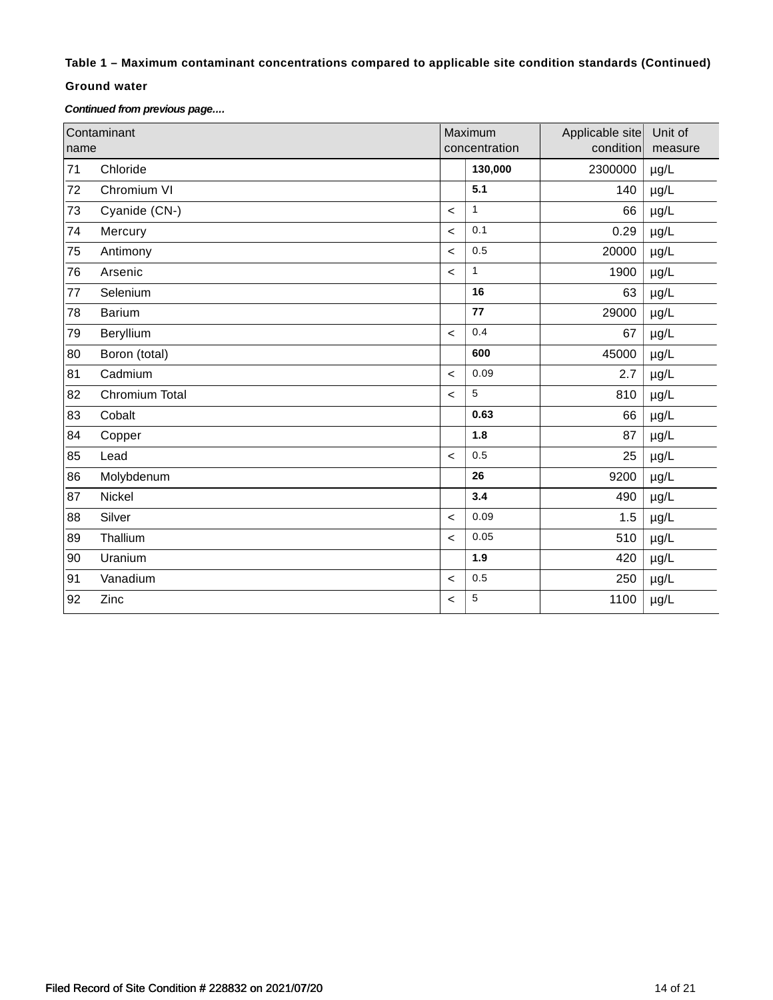## **Table 1 – Maximum contaminant concentrations compared to applicable site condition standards (Continued)**

#### **Ground water**

*Continued from previous page....*

| name | Contaminant    | Maximum<br>concentration |         | Applicable site<br>condition | Unit of<br>measure |
|------|----------------|--------------------------|---------|------------------------------|--------------------|
| 71   | Chloride       |                          | 130,000 | 2300000                      | $\mu$ g/L          |
| 72   | Chromium VI    |                          | 5.1     | 140                          | µg/L               |
| 73   | Cyanide (CN-)  | $\,<\,$                  | 1       | 66                           | µg/L               |
| 74   | Mercury        | $\prec$                  | 0.1     | 0.29                         | $\mu$ g/L          |
| 75   | Antimony       | $\prec$                  | 0.5     | 20000                        | $\mu$ g/L          |
| 76   | Arsenic        | $\prec$                  | 1       | 1900                         | $\mu$ g/L          |
| 77   | Selenium       |                          | 16      | 63                           | µg/L               |
| 78   | <b>Barium</b>  |                          | 77      | 29000                        | µg/L               |
| 79   | Beryllium      | $\prec$                  | 0.4     | 67                           | $\mu$ g/L          |
| 80   | Boron (total)  |                          | 600     | 45000                        | µg/L               |
| 81   | Cadmium        | $\prec$                  | 0.09    | 2.7                          | µg/L               |
| 82   | Chromium Total | $\,<\,$                  | 5       | 810                          | $\mu$ g/L          |
| 83   | Cobalt         |                          | 0.63    | 66                           | $\mu$ g/L          |
| 84   | Copper         |                          | 1.8     | 87                           | $\mu$ g/L          |
| 85   | Lead           | $\prec$                  | 0.5     | 25                           | µg/L               |
| 86   | Molybdenum     |                          | 26      | 9200                         | µg/L               |
| 87   | Nickel         |                          | 3.4     | 490                          | µg/L               |
| 88   | Silver         | $\prec$                  | 0.09    | 1.5                          | µg/L               |
| 89   | Thallium       | $\,<\,$                  | 0.05    | 510                          | µg/L               |
| 90   | Uranium        |                          | 1.9     | 420                          | µg/L               |
| 91   | Vanadium       | $\prec$                  | 0.5     | 250                          | $\mu$ g/L          |
| 92   | Zinc           | $\,<\,$                  | 5       | 1100                         | $\mu$ g/L          |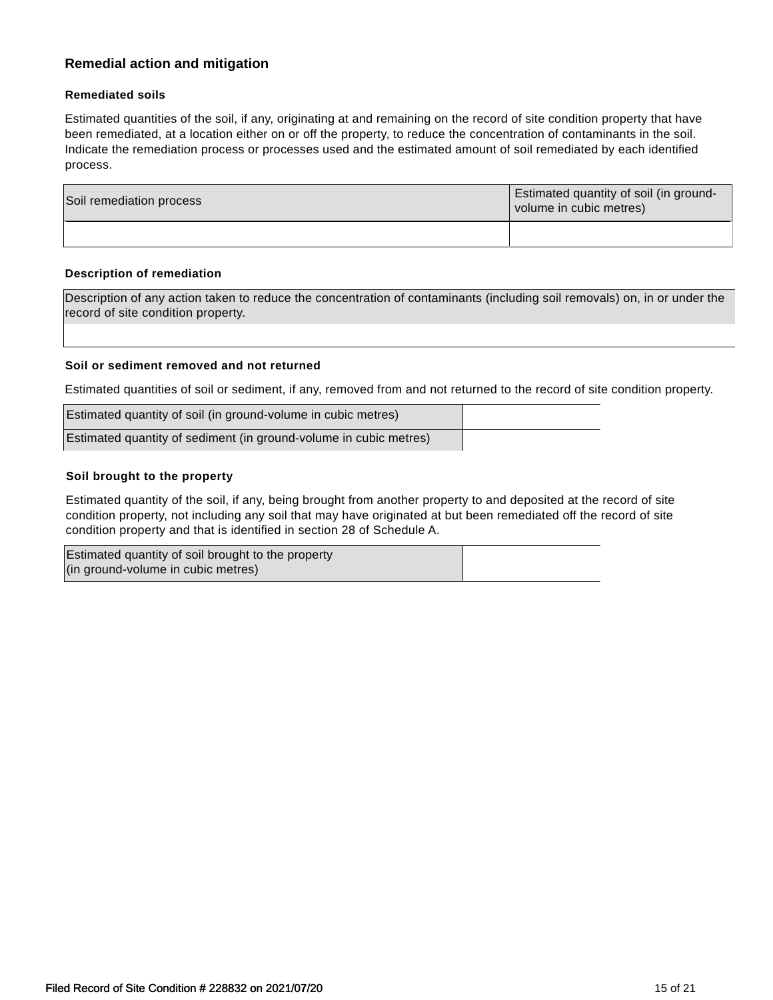# **Remedial action and mitigation**

#### **Remediated soils**

Estimated quantities of the soil, if any, originating at and remaining on the record of site condition property that have been remediated, at a location either on or off the property, to reduce the concentration of contaminants in the soil. Indicate the remediation process or processes used and the estimated amount of soil remediated by each identified process.

| Soil remediation process | <b>Estimated quantity of soil (in ground-</b><br>volume in cubic metres) |  |
|--------------------------|--------------------------------------------------------------------------|--|
|                          |                                                                          |  |

#### **Description of remediation**

Description of any action taken to reduce the concentration of contaminants (including soil removals) on, in or under the record of site condition property.

#### **Soil or sediment removed and not returned**

Estimated quantities of soil or sediment, if any, removed from and not returned to the record of site condition property.

| Estimated quantity of soil (in ground-volume in cubic metres)     |  |
|-------------------------------------------------------------------|--|
| Estimated quantity of sediment (in ground-volume in cubic metres) |  |

#### **Soil brought to the property**

Estimated quantity of the soil, if any, being brought from another property to and deposited at the record of site condition property, not including any soil that may have originated at but been remediated off the record of site condition property and that is identified in section 28 of Schedule A.

| Estimated quantity of soil brought to the property |  |
|----------------------------------------------------|--|
| (in ground-volume in cubic metres)                 |  |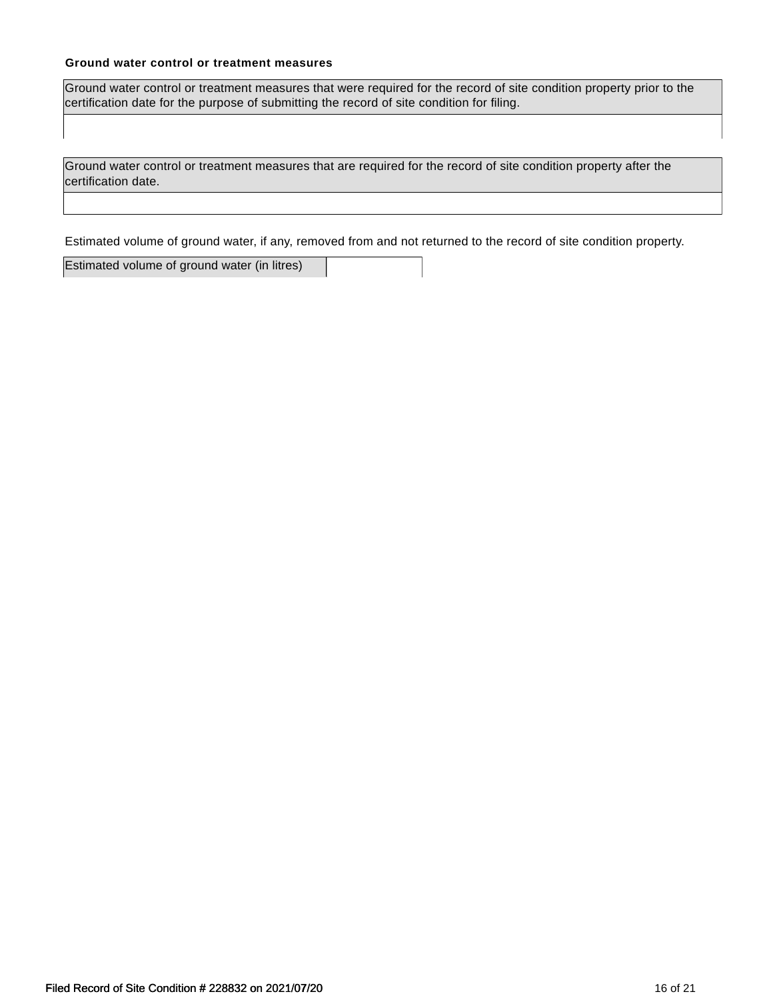### **Ground water control or treatment measures**

Ground water control or treatment measures that were required for the record of site condition property prior to the certification date for the purpose of submitting the record of site condition for filing.

Ground water control or treatment measures that are required for the record of site condition property after the certification date.

Estimated volume of ground water, if any, removed from and not returned to the record of site condition property.

Estimated volume of ground water (in litres)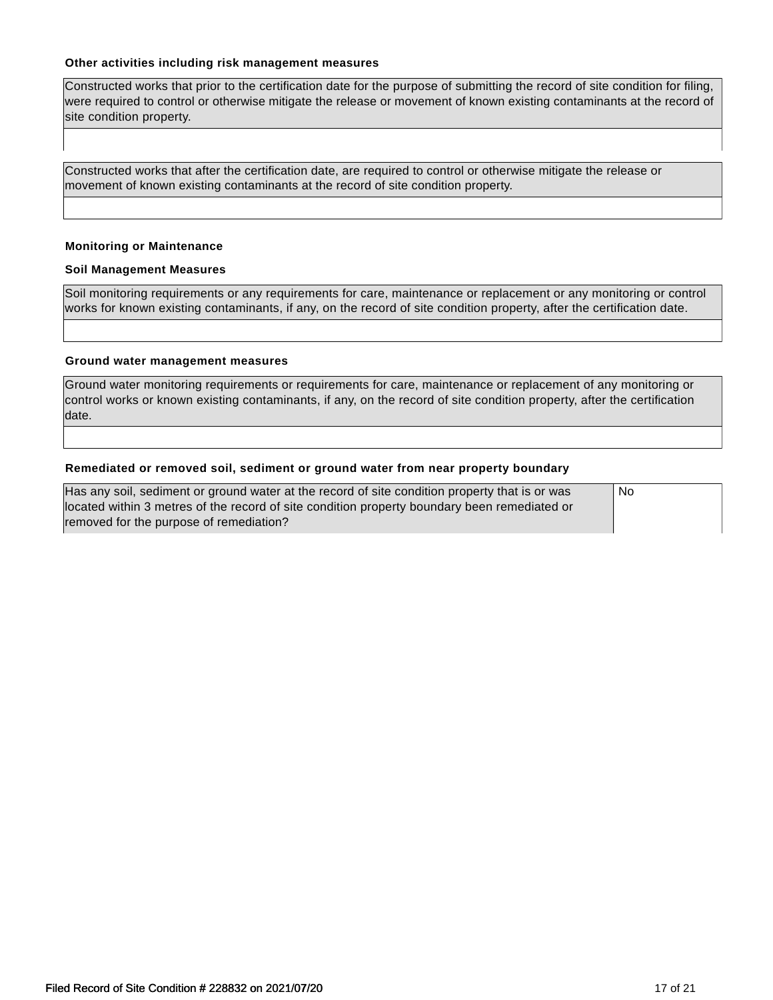#### **Other activities including risk management measures**

Constructed works that prior to the certification date for the purpose of submitting the record of site condition for filing, were required to control or otherwise mitigate the release or movement of known existing contaminants at the record of site condition property.

Constructed works that after the certification date, are required to control or otherwise mitigate the release or movement of known existing contaminants at the record of site condition property.

#### **Monitoring or Maintenance**

#### **Soil Management Measures**

Soil monitoring requirements or any requirements for care, maintenance or replacement or any monitoring or control works for known existing contaminants, if any, on the record of site condition property, after the certification date.

#### **Ground water management measures**

Ground water monitoring requirements or requirements for care, maintenance or replacement of any monitoring or control works or known existing contaminants, if any, on the record of site condition property, after the certification date.

#### **Remediated or removed soil, sediment or ground water from near property boundary**

| Has any soil, sediment or ground water at the record of site condition property that is or was | <b>No</b> |
|------------------------------------------------------------------------------------------------|-----------|
| located within 3 metres of the record of site condition property boundary been remediated or   |           |
| removed for the purpose of remediation?                                                        |           |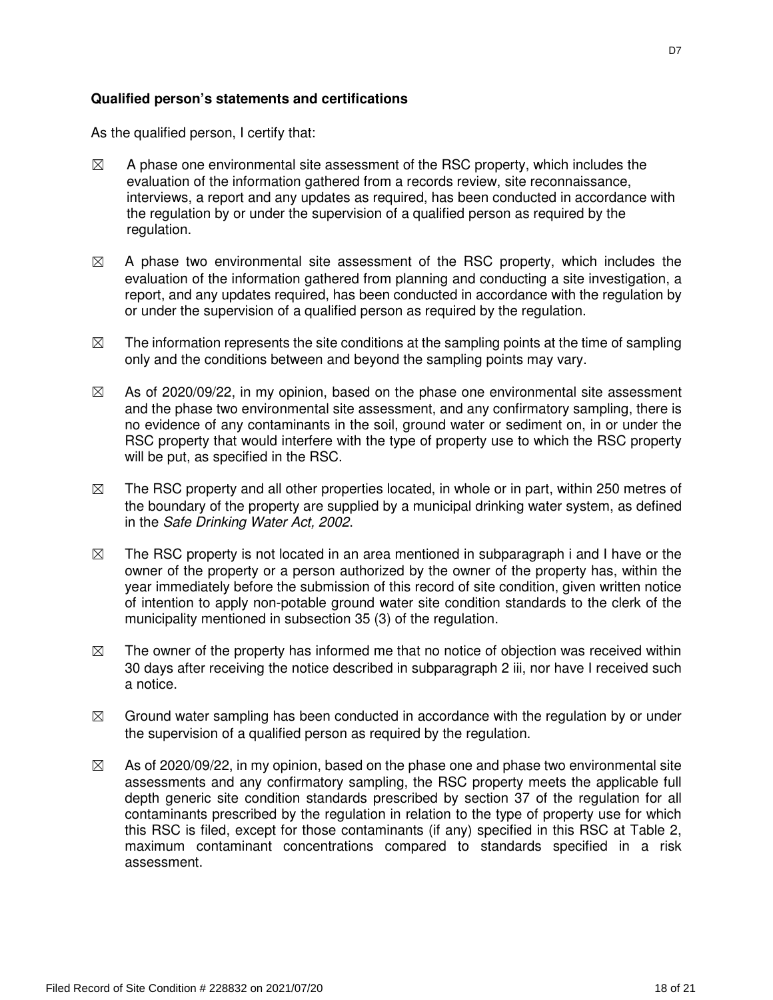As the qualified person, I certify that:

- $\boxtimes$  A phase one environmental site assessment of the RSC property, which includes the evaluation of the information gathered from a records review, site reconnaissance, interviews, a report and any updates as required, has been conducted in accordance with the regulation by or under the supervision of a qualified person as required by the regulation.
- $\boxtimes$  A phase two environmental site assessment of the RSC property, which includes the evaluation of the information gathered from planning and conducting a site investigation, a report, and any updates required, has been conducted in accordance with the regulation by or under the supervision of a qualified person as required by the regulation.
- $\boxtimes$  The information represents the site conditions at the sampling points at the time of sampling only and the conditions between and beyond the sampling points may vary.
- $\boxtimes$  As of 2020/09/22, in my opinion, based on the phase one environmental site assessment and the phase two environmental site assessment, and any confirmatory sampling, there is no evidence of any contaminants in the soil, ground water or sediment on, in or under the RSC property that would interfere with the type of property use to which the RSC property will be put, as specified in the RSC.
- $\boxtimes$  The RSC property and all other properties located, in whole or in part, within 250 metres of the boundary of the property are supplied by a municipal drinking water system, as defined in the Safe Drinking Water Act, 2002.
- $\boxtimes$  The RSC property is not located in an area mentioned in subparagraph i and I have or the owner of the property or a person authorized by the owner of the property has, within the year immediately before the submission of this record of site condition, given written notice of intention to apply non-potable ground water site condition standards to the clerk of the municipality mentioned in subsection 35 (3) of the regulation.
- $\boxtimes$  The owner of the property has informed me that no notice of objection was received within 30 days after receiving the notice described in subparagraph 2 iii, nor have I received such a notice.
- $\boxtimes$  Ground water sampling has been conducted in accordance with the regulation by or under the supervision of a qualified person as required by the regulation.
- $\boxtimes$  As of 2020/09/22, in my opinion, based on the phase one and phase two environmental site assessments and any confirmatory sampling, the RSC property meets the applicable full depth generic site condition standards prescribed by section 37 of the regulation for all contaminants prescribed by the regulation in relation to the type of property use for which this RSC is filed, except for those contaminants (if any) specified in this RSC at Table 2, maximum contaminant concentrations compared to standards specified in a risk assessment.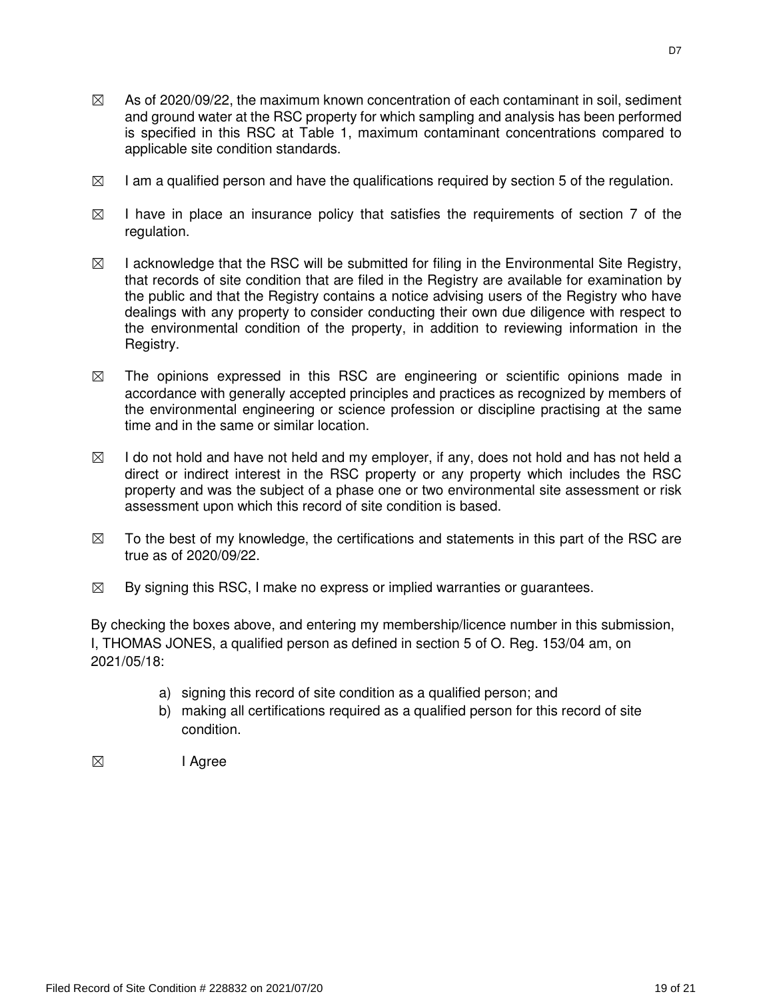- $\boxtimes$  As of 2020/09/22, the maximum known concentration of each contaminant in soil, sediment and ground water at the RSC property for which sampling and analysis has been performed is specified in this RSC at Table 1, maximum contaminant concentrations compared to applicable site condition standards.
- $\boxtimes$  I am a qualified person and have the qualifications required by section 5 of the regulation.
- $\boxtimes$  I have in place an insurance policy that satisfies the requirements of section 7 of the regulation.
- $\boxtimes$  I acknowledge that the RSC will be submitted for filing in the Environmental Site Registry, that records of site condition that are filed in the Registry are available for examination by the public and that the Registry contains a notice advising users of the Registry who have dealings with any property to consider conducting their own due diligence with respect to the environmental condition of the property, in addition to reviewing information in the Registry.
- $\boxtimes$  The opinions expressed in this RSC are engineering or scientific opinions made in accordance with generally accepted principles and practices as recognized by members of the environmental engineering or science profession or discipline practising at the same time and in the same or similar location.
- $\boxtimes$  I do not hold and have not held and my employer, if any, does not hold and has not held a direct or indirect interest in the RSC property or any property which includes the RSC property and was the subject of a phase one or two environmental site assessment or risk assessment upon which this record of site condition is based.
- $\boxtimes$  To the best of my knowledge, the certifications and statements in this part of the RSC are true as of 2020/09/22.
- $\boxtimes$  By signing this RSC, I make no express or implied warranties or guarantees.

By checking the boxes above, and entering my membership/licence number in this submission, I, THOMAS JONES, a qualified person as defined in section 5 of O. Reg. 153/04 am, on 2021/05/18:

- a) signing this record of site condition as a qualified person; and
- b) making all certifications required as a qualified person for this record of site condition.
- ☒ I Agree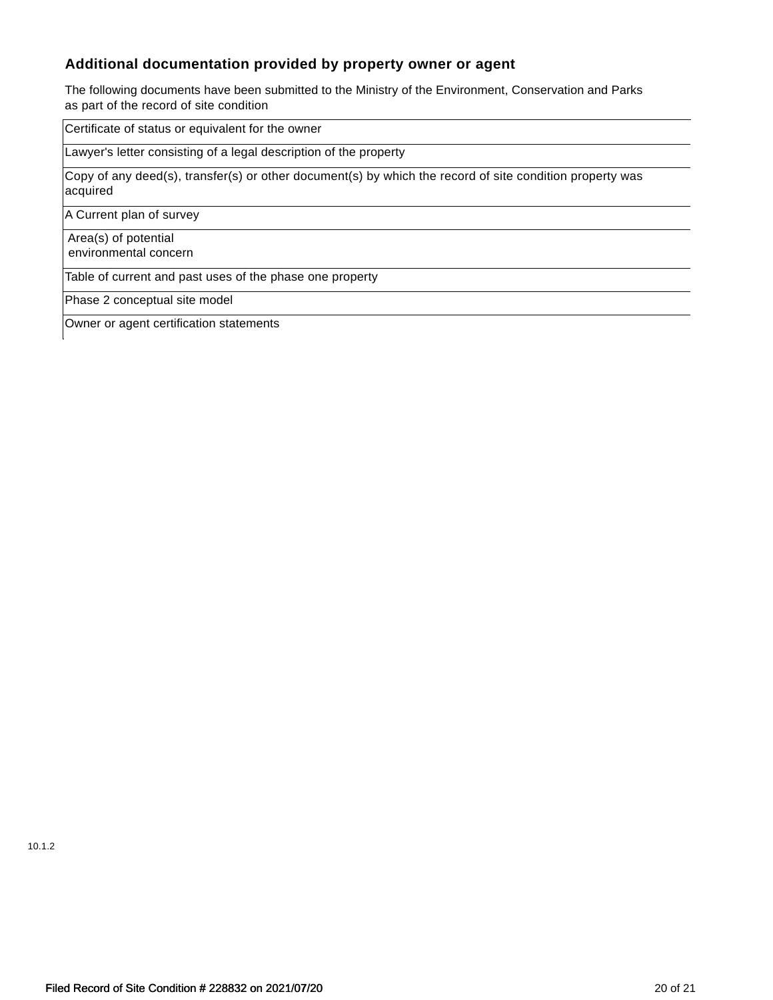# **Additional documentation provided by property owner or agent**

The following documents have been submitted to the Ministry of the Environment, Conservation and Parks as part of the record of site condition

Certificate of status or equivalent for the owner

Lawyer's letter consisting of a legal description of the property

Copy of any deed(s), transfer(s) or other document(s) by which the record of site condition property was acquired

A Current plan of survey

 Area(s) of potential environmental concern

Table of current and past uses of the phase one property

Phase 2 conceptual site model

Owner or agent certification statements

10.1.2